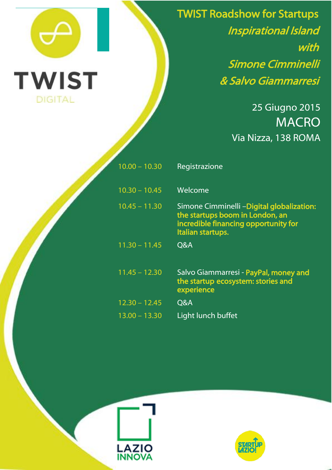

í

TWIST Roadshow for Startups Inspirational Island with Simone Cimminelli & Salvo Giammarresi

> 25 Giugno 2015 MACRO Via Nizza, 138 ROMA

| $10.00 - 10.30$ | Registrazione                                                                                                                             |
|-----------------|-------------------------------------------------------------------------------------------------------------------------------------------|
| $10.30 - 10.45$ | Welcome                                                                                                                                   |
| $10.45 - 11.30$ | Simone Cimminelli -Digital globalization:<br>the startups boom in London, an<br>incredible financing opportunity for<br>Italian startups. |
| $11.30 - 11.45$ | <b>Q&amp;A</b>                                                                                                                            |
| $11.45 - 12.30$ | Salvo Giammarresi - PayPal, money and<br>the startup ecosystem: stories and<br>experience                                                 |
| $12.30 - 12.45$ | Q&A                                                                                                                                       |
| $13.00 - 13.30$ | Light lunch buffet                                                                                                                        |



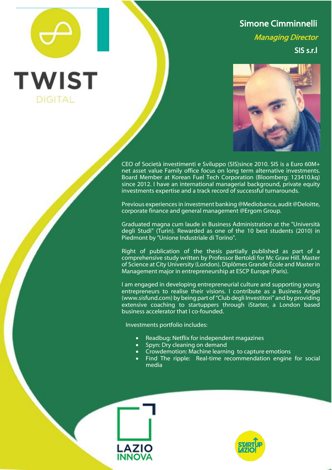## Simone Cimminnelli

Managing Director

SIS s.r.l



CEO of Società investimenti e Sviluppo (SIS)since 2010. SIS is a Euro 60M+ net asset value Family office focus on long term alternative investments. Board Member at Korean Fuel Tech Corporation (Bloomberg: 123410.kq) since 2012. I have an international managerial background, private equity investments expertise and a track record of successful turnarounds.

Previous experiences in investment banking @Mediobanca, audit @Deloitte, corporate finance and general management @Ergom Group.

Graduated magna cum laude in Business Administration at the "Università degli Studi" (Turin). Rewarded as one of the 10 best students (2010) in Piedmont by "Unione Industriale di Torino".

Right of publication of the thesis partially published as part of a comprehensive study written by Professor Bertoldi for Mc Graw Hill. Master of Science at City University (London). Diplômes Grande École and Master in Management major in entrepreneurship at ESCP Europe (Paris).

I am engaged in developing entrepreneurial culture and supporting young entrepreneurs to realise their visions. I contribute as a Business Angel (www.sisfund.com) by being part of "Club degli Investitori" and by providing extensive coaching to startuppers through iStarter, a London based business accelerator that I co-founded.

Investments portfolio includes:

- Readbug: Netflix for independent magazines
- Spyn: Dry cleaning on demand
- Crowdemotion: Machine learning to capture emotions
- Find The ripple: Real-time recommendation engine for social media



**TWIST** 

**DIGITAL** 

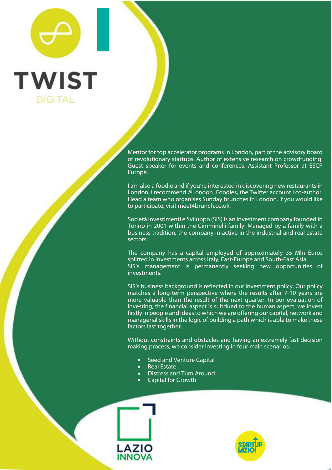## **TWIST DIGITAL**

Mentor for top accelerator programs in London, part of the advisory board of revolutionary startups. Author of extensive research on crowdfunding. Guest speaker for events and conferences. Assistant Professor at ESCP Europe.

I am also a foodie and if you're interested in discovering new restaurants in London, I recommend @London Foodies, the Twitter account I co-author. I lead a team who organises Sunday brunches in London. If you would like to participate, visit meet4brunch.co.uk.

Società Investimenti e Sviluppo (SIS) is an investment company founded in Torino in 2001 within the Cimminelli family. Managed by a family with a business tradition, the company in active in the industrial and real estate sectors.

The company has a capital employed of approximately 35 Mln Euros splitted in investments across Italy, East-Europe and South-East Asia. SIS's management is permanently seeking new opportunities of investments.

SIS's business background is reflected in our investment policy. Our policy matches a long-term perspective where the results after 7-10 years are more valuable than the result of the next quarter. In our evaluation of investing, the financial aspect is subdued to the human aspect; we invest firstly in people and ideas to which we are offering our capital, network and managerial skills in the logic of building a path which is able to make these factors last together.

Without constraints and obstacles and having an extremely fast decision making process, we consider investing in four main scenarios:

- Seed and Venture Capital
- Real Estate
- Distress and Turn Around
- Capital for Growth